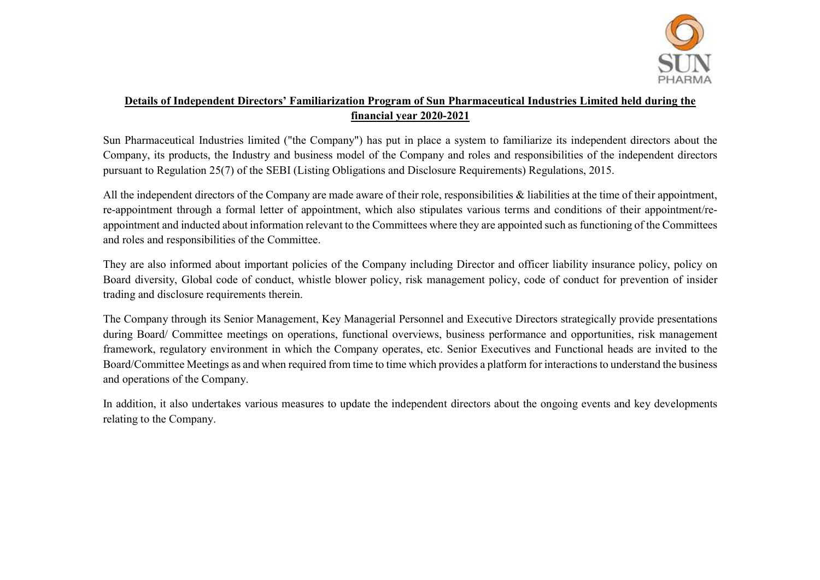

## Details of Independent Directors' Familiarization Program of Sun Pharmaceutical Industries Limited held during the financial year 2020-2021

Sun Pharmaceutical Industries limited ("the Company") has put in place a system to familiarize its independent directors about the Company, its products, the Industry and business model of the Company and roles and responsibilities of the independent directors pursuant to Regulation 25(7) of the SEBI (Listing Obligations and Disclosure Requirements) Regulations, 2015.

All the independent directors of the Company are made aware of their role, responsibilities & liabilities at the time of their appointment, re-appointment through a formal letter of appointment, which also stipulates various terms and conditions of their appointment/reappointment and inducted about information relevant to the Committees where they are appointed such as functioning of the Committees and roles and responsibilities of the Committee.

They are also informed about important policies of the Company including Director and officer liability insurance policy, policy on Board diversity, Global code of conduct, whistle blower policy, risk management policy, code of conduct for prevention of insider trading and disclosure requirements therein.

The Company through its Senior Management, Key Managerial Personnel and Executive Directors strategically provide presentations during Board/ Committee meetings on operations, functional overviews, business performance and opportunities, risk management framework, regulatory environment in which the Company operates, etc. Senior Executives and Functional heads are invited to the Board/Committee Meetings as and when required from time to time which provides a platform for interactions to understand the business and operations of the Company.

In addition, it also undertakes various measures to update the independent directors about the ongoing events and key developments relating to the Company.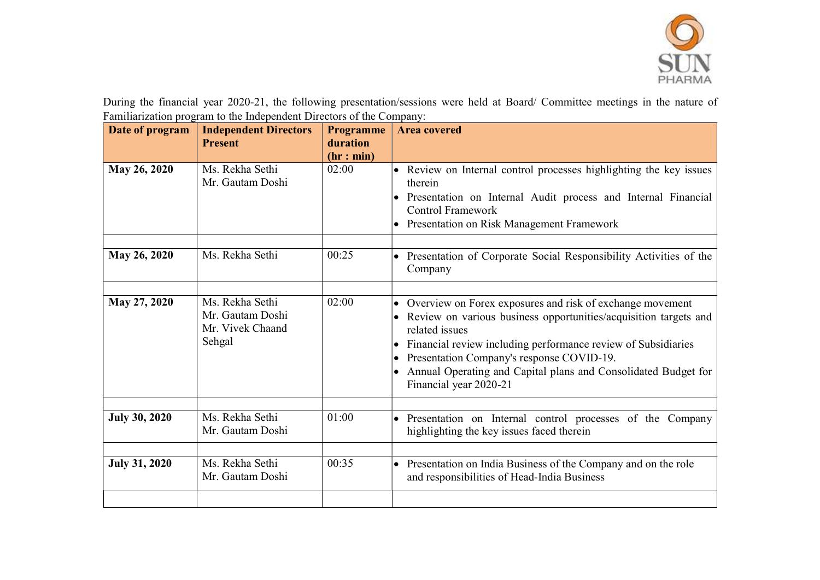

During the financial year 2020-21, the following presentation/sessions were held at Board/ Committee meetings in the nature of Familiarization program to the Independent Directors of the Company:

| Date of program      | <b>Independent Directors</b><br><b>Present</b>                    | <b>Programme</b><br>duration | <b>Area covered</b>                                                                                                                                                                                                                                                                                                                                                      |
|----------------------|-------------------------------------------------------------------|------------------------------|--------------------------------------------------------------------------------------------------------------------------------------------------------------------------------------------------------------------------------------------------------------------------------------------------------------------------------------------------------------------------|
| May 26, 2020         | Ms. Rekha Sethi<br>Mr. Gautam Doshi                               | (hr: min)<br>02:00           | Review on Internal control processes highlighting the key issues<br>therein<br>• Presentation on Internal Audit process and Internal Financial<br><b>Control Framework</b><br>Presentation on Risk Management Framework                                                                                                                                                  |
| May 26, 2020         | Ms. Rekha Sethi                                                   | 00:25                        | Presentation of Corporate Social Responsibility Activities of the<br>Company                                                                                                                                                                                                                                                                                             |
| May 27, 2020         | Ms. Rekha Sethi<br>Mr. Gautam Doshi<br>Mr. Vivek Chaand<br>Sehgal | 02:00                        | Overview on Forex exposures and risk of exchange movement<br>• Review on various business opportunities/acquisition targets and<br>related issues<br>Financial review including performance review of Subsidiaries<br>Presentation Company's response COVID-19.<br>$\bullet$<br>Annual Operating and Capital plans and Consolidated Budget for<br>Financial year 2020-21 |
| <b>July 30, 2020</b> | Ms. Rekha Sethi<br>Mr. Gautam Doshi                               | 01:00                        | Presentation on Internal control processes of the Company<br>highlighting the key issues faced therein                                                                                                                                                                                                                                                                   |
| <b>July 31, 2020</b> | Ms. Rekha Sethi<br>Mr. Gautam Doshi                               | 00:35                        | Presentation on India Business of the Company and on the role<br>and responsibilities of Head-India Business                                                                                                                                                                                                                                                             |
|                      |                                                                   |                              |                                                                                                                                                                                                                                                                                                                                                                          |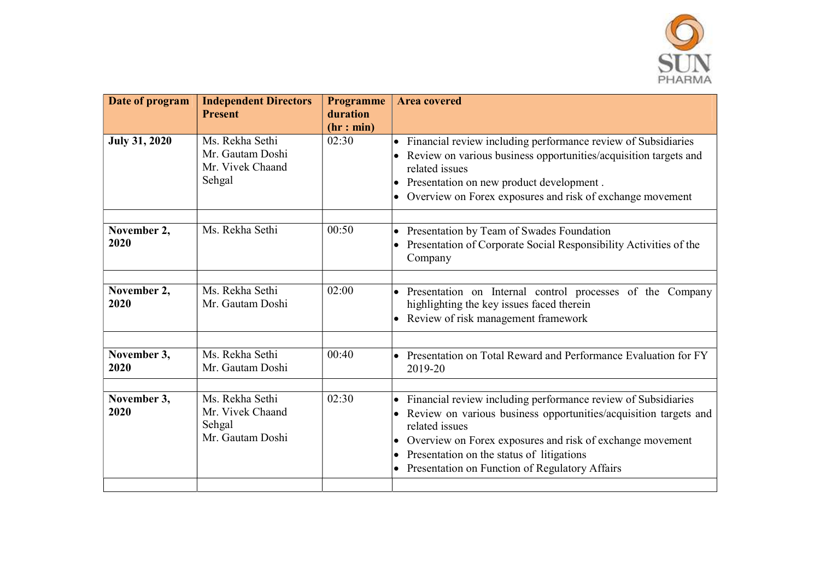

| Date of program      | <b>Independent Directors</b><br><b>Present</b>                    | Programme<br>duration | <b>Area covered</b>                                                                                                                                                                                                                                                                                                                                      |
|----------------------|-------------------------------------------------------------------|-----------------------|----------------------------------------------------------------------------------------------------------------------------------------------------------------------------------------------------------------------------------------------------------------------------------------------------------------------------------------------------------|
|                      |                                                                   | (hr: min)             |                                                                                                                                                                                                                                                                                                                                                          |
| <b>July 31, 2020</b> | Ms. Rekha Sethi<br>Mr. Gautam Doshi<br>Mr. Vivek Chaand<br>Sehgal | 02:30                 | Financial review including performance review of Subsidiaries<br>$\bullet$<br>Review on various business opportunities/acquisition targets and<br>related issues<br>Presentation on new product development.<br>Overview on Forex exposures and risk of exchange movement<br>$\bullet$                                                                   |
| November 2,<br>2020  | Ms. Rekha Sethi                                                   | 00:50                 | Presentation by Team of Swades Foundation<br>$\bullet$<br>Presentation of Corporate Social Responsibility Activities of the<br>$\bullet$<br>Company                                                                                                                                                                                                      |
| November 2,<br>2020  | Ms. Rekha Sethi<br>Mr. Gautam Doshi                               | 02:00                 | Presentation on Internal control processes of the Company<br>$\bullet$<br>highlighting the key issues faced therein<br>Review of risk management framework<br>$\bullet$                                                                                                                                                                                  |
| November 3,<br>2020  | Ms. Rekha Sethi<br>Mr. Gautam Doshi                               | 00:40                 | Presentation on Total Reward and Performance Evaluation for FY<br>$\bullet$<br>2019-20                                                                                                                                                                                                                                                                   |
| November 3,<br>2020  | Ms. Rekha Sethi<br>Mr. Vivek Chaand<br>Sehgal<br>Mr. Gautam Doshi | 02:30                 | Financial review including performance review of Subsidiaries<br>$\bullet$<br>• Review on various business opportunities/acquisition targets and<br>related issues<br>Overview on Forex exposures and risk of exchange movement<br>$\bullet$<br>Presentation on the status of litigations<br>$\bullet$<br>Presentation on Function of Regulatory Affairs |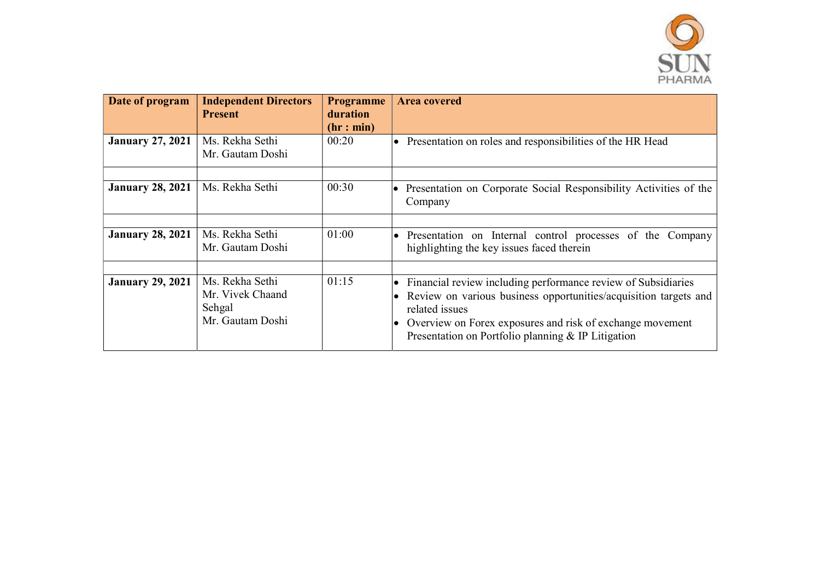

| Date of program         | <b>Independent Directors</b><br><b>Present</b>                    | <b>Programme</b><br>duration<br>(hr: min) | <b>Area covered</b>                                                                                                                                                                                                                                                                                |
|-------------------------|-------------------------------------------------------------------|-------------------------------------------|----------------------------------------------------------------------------------------------------------------------------------------------------------------------------------------------------------------------------------------------------------------------------------------------------|
| <b>January 27, 2021</b> | Ms. Rekha Sethi<br>Mr. Gautam Doshi                               | 00:20                                     | Presentation on roles and responsibilities of the HR Head<br>$\bullet$                                                                                                                                                                                                                             |
| <b>January 28, 2021</b> | Ms. Rekha Sethi                                                   | 00:30                                     | Presentation on Corporate Social Responsibility Activities of the<br>Company                                                                                                                                                                                                                       |
| <b>January 28, 2021</b> | Ms. Rekha Sethi<br>Mr. Gautam Doshi                               | 01:00                                     | Presentation on Internal control processes of the Company<br>$\bullet$<br>highlighting the key issues faced therein                                                                                                                                                                                |
| <b>January 29, 2021</b> | Ms. Rekha Sethi<br>Mr. Vivek Chaand<br>Sehgal<br>Mr. Gautam Doshi | 01:15                                     | Financial review including performance review of Subsidiaries<br>$\bullet$<br>Review on various business opportunities/acquisition targets and<br>$\bullet$<br>related issues<br>Overview on Forex exposures and risk of exchange movement<br>Presentation on Portfolio planning $&$ IP Litigation |